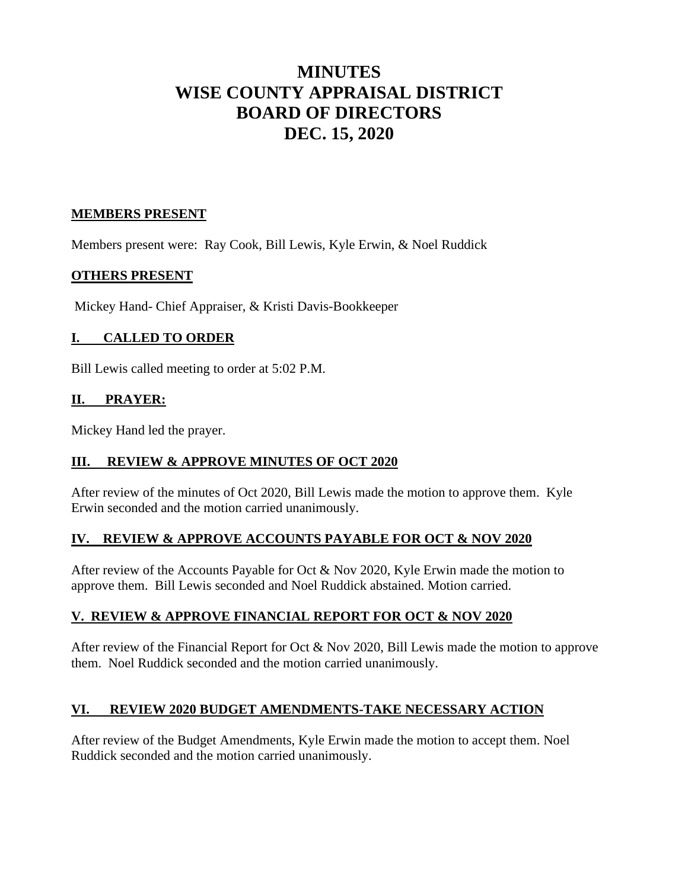# **MINUTES WISE COUNTY APPRAISAL DISTRICT BOARD OF DIRECTORS DEC. 15, 2020**

## **MEMBERS PRESENT**

Members present were: Ray Cook, Bill Lewis, Kyle Erwin, & Noel Ruddick

## **OTHERS PRESENT**

Mickey Hand- Chief Appraiser, & Kristi Davis-Bookkeeper

# **I. CALLED TO ORDER**

Bill Lewis called meeting to order at 5:02 P.M.

# **II. PRAYER:**

Mickey Hand led the prayer.

# **III. REVIEW & APPROVE MINUTES OF OCT 2020**

After review of the minutes of Oct 2020, Bill Lewis made the motion to approve them. Kyle Erwin seconded and the motion carried unanimously.

# **IV. REVIEW & APPROVE ACCOUNTS PAYABLE FOR OCT & NOV 2020**

After review of the Accounts Payable for Oct & Nov 2020, Kyle Erwin made the motion to approve them. Bill Lewis seconded and Noel Ruddick abstained. Motion carried.

# **V. REVIEW & APPROVE FINANCIAL REPORT FOR OCT & NOV 2020**

After review of the Financial Report for Oct & Nov 2020, Bill Lewis made the motion to approve them. Noel Ruddick seconded and the motion carried unanimously.

## **VI. REVIEW 2020 BUDGET AMENDMENTS-TAKE NECESSARY ACTION**

After review of the Budget Amendments, Kyle Erwin made the motion to accept them. Noel Ruddick seconded and the motion carried unanimously.